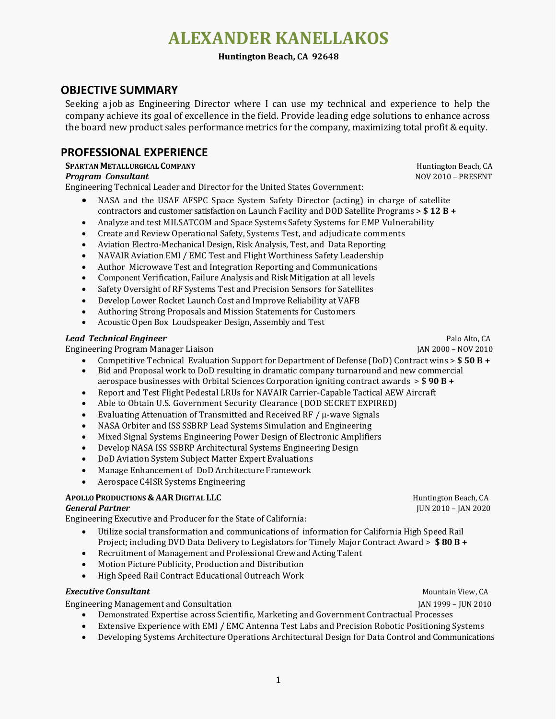# **ALEXANDER KANELLAKOS**

### **Huntington Beach, CA 92648**

# **OBJECTIVE SUMMARY**

Seeking a job as Engineering Director where I can use my technical and experience to help the company achieve its goal of excellence in the field. Provide leading edge solutions to enhance across the board new product sales performance metrics for the company, maximizing total profit & equity.

# **PROFESSIONAL EXPERIENCE**

# **SPARTAN METALLURGICAL COMPANY** Huntington Beach, CA

### *Program Consultant* NOV 2010 – PRESENT

Engineering Technical Leader and Director for the United States Government:

- NASA and the USAF AFSPC Space System Safety Director (acting) in charge of satellite contractors and customer satisfaction on Launch Facility and DOD Satellite Programs > **\$ 12 B +**
- Analyze and test MILSATCOM and Space Systems Safety Systems for EMP Vulnerability
- Create and Review Operational Safety, Systems Test, and adjudicate comments
- Aviation Electro-Mechanical Design, Risk Analysis, Test, and Data Reporting
- NAVAIR Aviation EMI / EMC Test and Flight Worthiness Safety Leadership
- Author Microwave Test and Integration Reporting and Communications
- Component Verification, Failure Analysis and Risk Mitigation at all levels
- Safety Oversight of RF Systems Test and Precision Sensors for Satellites
- Develop Lower Rocket Launch Cost and Improve Reliability at VAFB
- Authoring Strong Proposals and Mission Statements for Customers
- Acoustic Open Box Loudspeaker Design, Assembly and Test

### *Lead Technical Engineer* Palo Alto, CA

Engineering Program Manager Liaison JAN 2000 – NOV 2010

- Competitive Technical Evaluation Support for Department of Defense (DoD) Contract wins > **\$ 50 B +**
- Bid and Proposal work to DoD resulting in dramatic company turnaround and new commercial aerospace businesses with Orbital Sciences Corporation igniting contract awards > **\$ 90 B +**
- Report and Test Flight Pedestal LRUs for NAVAIR Carrier-Capable Tactical AEW Aircraft
- Able to Obtain U.S. Government Security Clearance (DOD SECRET EXPIRED)
- Evaluating Attenuation of Transmitted and Received RF / μ-wave Signals
- NASA Orbiter and ISS SSBRP Lead Systems Simulation and Engineering
- Mixed Signal Systems Engineering Power Design of Electronic Amplifiers
- Develop NASA ISS SSBRP Architectural Systems Engineering Design
- DoD Aviation System Subject Matter Expert Evaluations
- Manage Enhancement of DoD Architecture Framework
- Aerospace C4ISR Systems Engineering

## **APOLLO PRODUCTIONS & AAR DIGITAL LLC EXECUTE A EXECUTIVE EXECUTIVE EXECUTIVE EXECUTIVE EXECUTIVE EXECUTIVE EXECUTIVE EXECUTIVE EXECUTIVE EXECUTIVE EXECUTIVE EXECUTIVE EXECUTIVE EXECUTIVE EXECUTIVE EXECUTIVE EXECUT**

Engineering Executive and Producer for the State of California:

- Utilize social transformation and communications of information for California High Speed Rail Project; including DVD Data Delivery to Legislators for Timely Major Contract Award > **\$ 80 B +**
- Recruitment of Management and Professional Crew and Acting Talent
- Motion Picture Publicity, Production and Distribution
- High Speed Rail Contract Educational Outreach Work

### **Executive Consultant** Consultant Consultant Consultant Consultant Consultant Consultant Consultant Consultant Consultant Consultant Consultant Consultant Consultant Consultant Consultant Consultant Consultant Consultant C

Engineering Management and Consultation JAN 1999 – JUN 2010

- Demonstrated Expertise across Scientific, Marketing and Government Contractual Processes
- Extensive Experience with EMI / EMC Antenna Test Labs and Precision Robotic Positioning Systems
- Developing Systems Architecture Operations Architectural Design for Data Control and Communications

**General Partner** JUN 2010 – JAN 2020

1